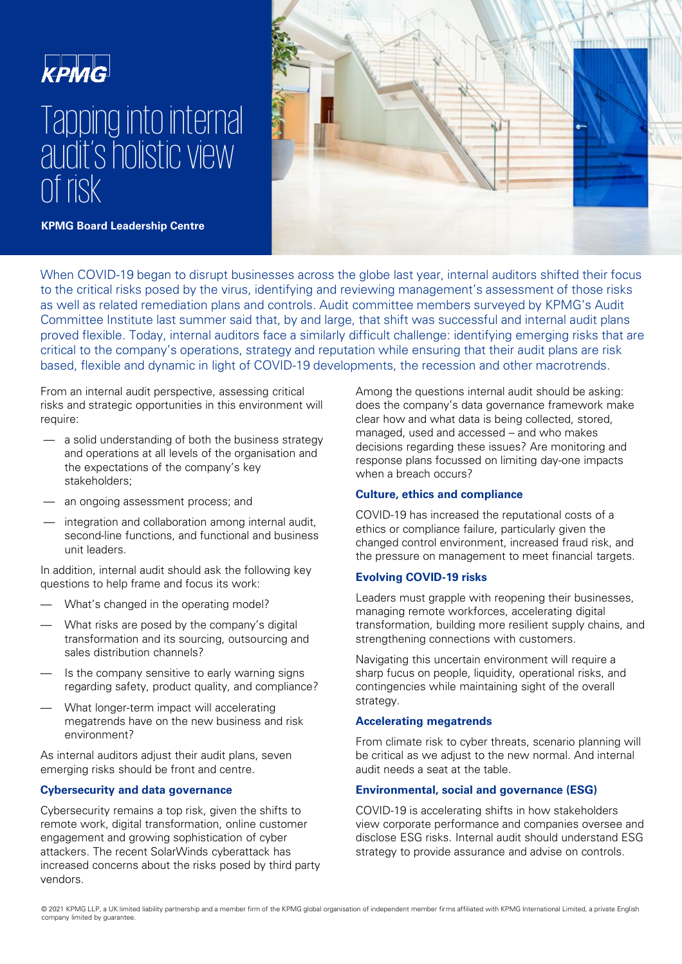

# Tapping into internal audit's holistic view of risk



**KPMG Board Leadership Centre** 

When COVID-19 began to disrupt businesses across the globe last year, internal auditors shifted their focus to the critical risks posed by the virus, identifying and reviewing management's assessment of those risks as well as related remediation plans and controls. Audit committee members surveyed by KPMG's Audit Committee Institute last summer said that, by and large, that shift was successful and internal audit plans proved flexible. Today, internal auditors face a similarly difficult challenge: identifying emerging risks that are critical to the company's operations, strategy and reputation while ensuring that their audit plans are risk based, flexible and dynamic in light of COVID-19 developments, the recession and other macrotrends.

From an internal audit perspective, assessing critical risks and strategic opportunities in this environment will require:

- a solid understanding of both the business strategy and operations at all levels of the organisation and the expectations of the company's key stakeholders;
- an ongoing assessment process; and
- integration and collaboration among internal audit, second-line functions, and functional and business unit leaders.

In addition, internal audit should ask the following key questions to help frame and focus its work:

- What's changed in the operating model?
- What risks are posed by the company's digital transformation and its sourcing, outsourcing and sales distribution channels?
- Is the company sensitive to early warning signs regarding safety, product quality, and compliance?
- What longer-term impact will accelerating megatrends have on the new business and risk environment?

As internal auditors adjust their audit plans, seven emerging risks should be front and centre.

# **Cybersecurity and data governance**

Cybersecurity remains a top risk, given the shifts to remote work, digital transformation, online customer engagement and growing sophistication of cyber attackers. The recent SolarWinds cyberattack has increased concerns about the risks posed by third party vendors.

Among the questions internal audit should be asking: does the company's data governance framework make clear how and what data is being collected, stored, managed, used and accessed – and who makes decisions regarding these issues? Are monitoring and response plans focussed on limiting day-one impacts when a breach occurs?

# **Culture, ethics and compliance**

COVID-19 has increased the reputational costs of a ethics or compliance failure, particularly given the changed control environment, increased fraud risk, and the pressure on management to meet financial targets.

# **Evolving COVID-19 risks**

Leaders must grapple with reopening their businesses, managing remote workforces, accelerating digital transformation, building more resilient supply chains, and strengthening connections with customers.

Navigating this uncertain environment will require a sharp fucus on people, liquidity, operational risks, and contingencies while maintaining sight of the overall strategy.

# **Accelerating megatrends**

From climate risk to cyber threats, scenario planning will be critical as we adjust to the new normal. And internal audit needs a seat at the table.

# **Environmental, social and governance (ESG)**

COVID-19 is accelerating shifts in how stakeholders view corporate performance and companies oversee and disclose ESG risks. Internal audit should understand ESG strategy to provide assurance and advise on controls.